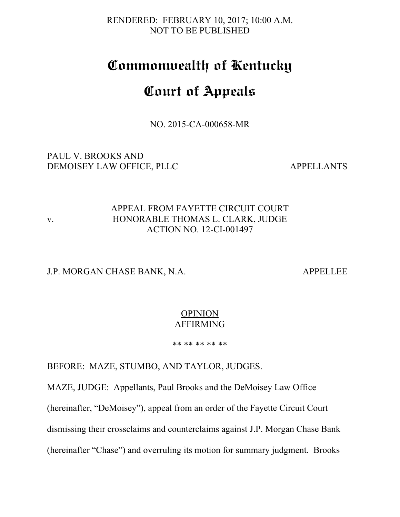RENDERED: FEBRUARY 10, 2017; 10:00 A.M. NOT TO BE PUBLISHED

# **Commonwealth of Kentucky**

# **Court of Appeals**

NO. 2015-CA-000658-MR

PAUL V. BROOKS AND DEMOISEY LAW OFFICE, PLLC APPELLANTS

## APPEAL FROM FAYETTE CIRCUIT COURT v. HONORABLE THOMAS L. CLARK, JUDGE ACTION NO. 12-CI-001497

#### J.P. MORGAN CHASE BANK, N.A. APPELLEE

#### **OPINION** AFFIRMING

\*\* \*\* \*\* \*\* \*\*

BEFORE: MAZE, STUMBO, AND TAYLOR, JUDGES.

MAZE, JUDGE: Appellants, Paul Brooks and the DeMoisey Law Office

(hereinafter, "DeMoisey"), appeal from an order of the Fayette Circuit Court

dismissing their crossclaims and counterclaims against J.P. Morgan Chase Bank

(hereinafter "Chase") and overruling its motion for summary judgment. Brooks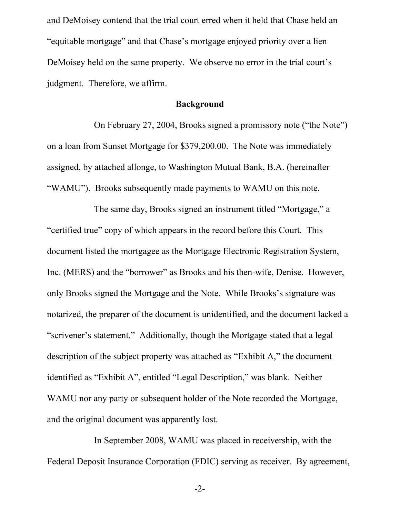and DeMoisey contend that the trial court erred when it held that Chase held an "equitable mortgage" and that Chase's mortgage enjoyed priority over a lien DeMoisey held on the same property. We observe no error in the trial court's judgment. Therefore, we affirm.

#### **Background**

On February 27, 2004, Brooks signed a promissory note ("the Note") on a loan from Sunset Mortgage for \$379,200.00. The Note was immediately assigned, by attached allonge, to Washington Mutual Bank, B.A. (hereinafter "WAMU"). Brooks subsequently made payments to WAMU on this note.

The same day, Brooks signed an instrument titled "Mortgage," a "certified true" copy of which appears in the record before this Court. This document listed the mortgagee as the Mortgage Electronic Registration System, Inc. (MERS) and the "borrower" as Brooks and his then-wife, Denise. However, only Brooks signed the Mortgage and the Note. While Brooks's signature was notarized, the preparer of the document is unidentified, and the document lacked a "scrivener's statement." Additionally, though the Mortgage stated that a legal description of the subject property was attached as "Exhibit A," the document identified as "Exhibit A", entitled "Legal Description," was blank. Neither WAMU nor any party or subsequent holder of the Note recorded the Mortgage, and the original document was apparently lost.

In September 2008, WAMU was placed in receivership, with the Federal Deposit Insurance Corporation (FDIC) serving as receiver. By agreement,

-2-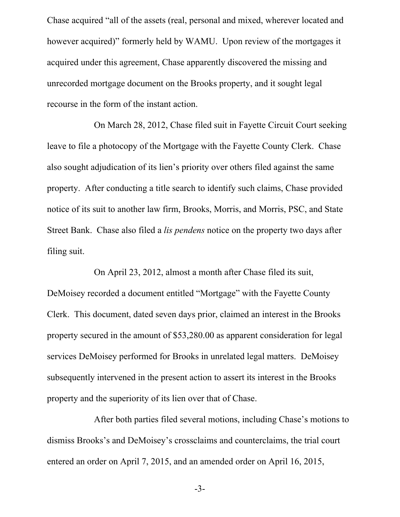Chase acquired "all of the assets (real, personal and mixed, wherever located and however acquired)" formerly held by WAMU. Upon review of the mortgages it acquired under this agreement, Chase apparently discovered the missing and unrecorded mortgage document on the Brooks property, and it sought legal recourse in the form of the instant action.

On March 28, 2012, Chase filed suit in Fayette Circuit Court seeking leave to file a photocopy of the Mortgage with the Fayette County Clerk. Chase also sought adjudication of its lien's priority over others filed against the same property. After conducting a title search to identify such claims, Chase provided notice of its suit to another law firm, Brooks, Morris, and Morris, PSC, and State Street Bank. Chase also filed a *lis pendens* notice on the property two days after filing suit.

On April 23, 2012, almost a month after Chase filed its suit, DeMoisey recorded a document entitled "Mortgage" with the Fayette County Clerk. This document, dated seven days prior, claimed an interest in the Brooks property secured in the amount of \$53,280.00 as apparent consideration for legal services DeMoisey performed for Brooks in unrelated legal matters. DeMoisey subsequently intervened in the present action to assert its interest in the Brooks property and the superiority of its lien over that of Chase.

After both parties filed several motions, including Chase's motions to dismiss Brooks's and DeMoisey's crossclaims and counterclaims, the trial court entered an order on April 7, 2015, and an amended order on April 16, 2015,

-3-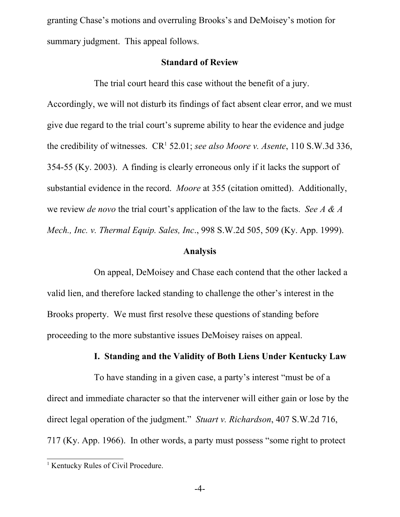granting Chase's motions and overruling Brooks's and DeMoisey's motion for summary judgment. This appeal follows.

### **Standard of Review**

The trial court heard this case without the benefit of a jury.

Accordingly, we will not disturb its findings of fact absent clear error, and we must give due regard to the trial court's supreme ability to hear the evidence and judge the credibility of witnesses. CR [1](#page-3-0) 52.01; *see also Moore v. Asente*, 110 S.W.3d 336, 354-55 (Ky. 2003). A finding is clearly erroneous only if it lacks the support of substantial evidence in the record. *Moore* at 355 (citation omitted). Additionally, we review *de novo* the trial court's application of the law to the facts. *See A & A Mech., Inc. v. Thermal Equip. Sales, Inc*., 998 S.W.2d 505, 509 (Ky. App. 1999).

# **Analysis**

On appeal, DeMoisey and Chase each contend that the other lacked a valid lien, and therefore lacked standing to challenge the other's interest in the Brooks property. We must first resolve these questions of standing before proceeding to the more substantive issues DeMoisey raises on appeal.

#### **I. Standing and the Validity of Both Liens Under Kentucky Law**

To have standing in a given case, a party's interest "must be of a direct and immediate character so that the intervener will either gain or lose by the direct legal operation of the judgment." *Stuart v. Richardson*, 407 S.W.2d 716, 717 (Ky. App. 1966). In other words, a party must possess "some right to protect

-4-

<span id="page-3-0"></span><sup>&</sup>lt;sup>1</sup> Kentucky Rules of Civil Procedure.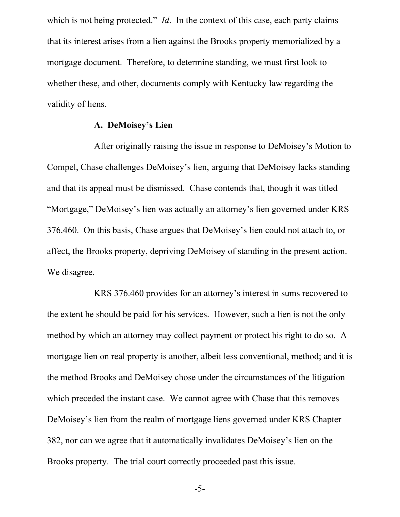which is not being protected." *Id*. In the context of this case, each party claims that its interest arises from a lien against the Brooks property memorialized by a mortgage document. Therefore, to determine standing, we must first look to whether these, and other, documents comply with Kentucky law regarding the validity of liens.

#### **A. DeMoisey's Lien**

After originally raising the issue in response to DeMoisey's Motion to Compel, Chase challenges DeMoisey's lien, arguing that DeMoisey lacks standing and that its appeal must be dismissed. Chase contends that, though it was titled "Mortgage," DeMoisey's lien was actually an attorney's lien governed under KRS 376.460. On this basis, Chase argues that DeMoisey's lien could not attach to, or affect, the Brooks property, depriving DeMoisey of standing in the present action. We disagree.

KRS 376.460 provides for an attorney's interest in sums recovered to the extent he should be paid for his services. However, such a lien is not the only method by which an attorney may collect payment or protect his right to do so. A mortgage lien on real property is another, albeit less conventional, method; and it is the method Brooks and DeMoisey chose under the circumstances of the litigation which preceded the instant case. We cannot agree with Chase that this removes DeMoisey's lien from the realm of mortgage liens governed under KRS Chapter 382, nor can we agree that it automatically invalidates DeMoisey's lien on the Brooks property. The trial court correctly proceeded past this issue.

-5-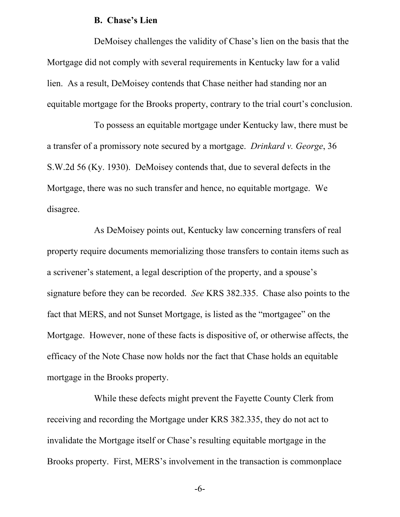#### **B. Chase's Lien**

DeMoisey challenges the validity of Chase's lien on the basis that the Mortgage did not comply with several requirements in Kentucky law for a valid lien. As a result, DeMoisey contends that Chase neither had standing nor an equitable mortgage for the Brooks property, contrary to the trial court's conclusion.

To possess an equitable mortgage under Kentucky law, there must be a transfer of a promissory note secured by a mortgage. *Drinkard v. George*, 36 S.W.2d 56 (Ky. 1930). DeMoisey contends that, due to several defects in the Mortgage, there was no such transfer and hence, no equitable mortgage. We disagree.

As DeMoisey points out, Kentucky law concerning transfers of real property require documents memorializing those transfers to contain items such as a scrivener's statement, a legal description of the property, and a spouse's signature before they can be recorded. *See* KRS 382.335. Chase also points to the fact that MERS, and not Sunset Mortgage, is listed as the "mortgagee" on the Mortgage. However, none of these facts is dispositive of, or otherwise affects, the efficacy of the Note Chase now holds nor the fact that Chase holds an equitable mortgage in the Brooks property.

While these defects might prevent the Fayette County Clerk from receiving and recording the Mortgage under KRS 382.335, they do not act to invalidate the Mortgage itself or Chase's resulting equitable mortgage in the Brooks property. First, MERS's involvement in the transaction is commonplace

-6-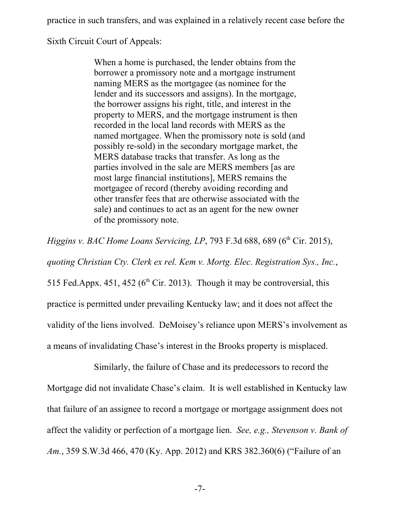practice in such transfers, and was explained in a relatively recent case before the

Sixth Circuit Court of Appeals:

When a home is purchased, the lender obtains from the borrower a promissory note and a mortgage instrument naming MERS as the mortgagee (as nominee for the lender and its successors and assigns). In the mortgage, the borrower assigns his right, title, and interest in the property to MERS, and the mortgage instrument is then recorded in the local land records with MERS as the named mortgagee. When the promissory note is sold (and possibly re-sold) in the secondary mortgage market, the MERS database tracks that transfer. As long as the parties involved in the sale are MERS members [as are most large financial institutions], MERS remains the mortgagee of record (thereby avoiding recording and other transfer fees that are otherwise associated with the sale) and continues to act as an agent for the new owner of the promissory note.

*Higgins v. BAC Home Loans Servicing, LP*, 793 F.3d 688, 689 (6 th Cir. 2015), *quoting Christian Cty. Clerk ex rel. Kem v. Mortg. Elec. Registration Sys., Inc.*, 515 Fed.Appx. 451, 452 ( $6<sup>th</sup>$  Cir. 2013). Though it may be controversial, this practice is permitted under prevailing Kentucky law; and it does not affect the validity of the liens involved. DeMoisey's reliance upon MERS's involvement as a means of invalidating Chase's interest in the Brooks property is misplaced.

Similarly, the failure of Chase and its predecessors to record the Mortgage did not invalidate Chase's claim. It is well established in Kentucky law that failure of an assignee to record a mortgage or mortgage assignment does not affect the validity or perfection of a mortgage lien. *See, e.g., Stevenson v. Bank of Am.*, 359 S.W.3d 466, 470 (Ky. App. 2012) and KRS 382.360(6) ("Failure of an

-7-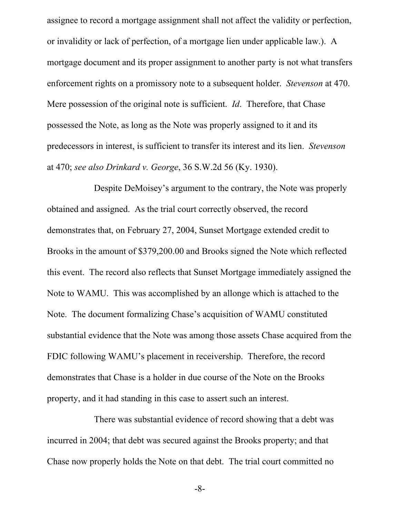assignee to record a mortgage assignment shall not affect the validity or perfection, or invalidity or lack of perfection, of a mortgage lien under applicable law.). A mortgage document and its proper assignment to another party is not what transfers enforcement rights on a promissory note to a subsequent holder. *Stevenson* at 470. Mere possession of the original note is sufficient. *Id*. Therefore, that Chase possessed the Note, as long as the Note was properly assigned to it and its predecessors in interest, is sufficient to transfer its interest and its lien. *Stevenson* at 470; *see also Drinkard v. George*, 36 S.W.2d 56 (Ky. 1930).

Despite DeMoisey's argument to the contrary, the Note was properly obtained and assigned. As the trial court correctly observed, the record demonstrates that, on February 27, 2004, Sunset Mortgage extended credit to Brooks in the amount of \$379,200.00 and Brooks signed the Note which reflected this event. The record also reflects that Sunset Mortgage immediately assigned the Note to WAMU. This was accomplished by an allonge which is attached to the Note. The document formalizing Chase's acquisition of WAMU constituted substantial evidence that the Note was among those assets Chase acquired from the FDIC following WAMU's placement in receivership. Therefore, the record demonstrates that Chase is a holder in due course of the Note on the Brooks property, and it had standing in this case to assert such an interest.

There was substantial evidence of record showing that a debt was incurred in 2004; that debt was secured against the Brooks property; and that Chase now properly holds the Note on that debt. The trial court committed no

-8-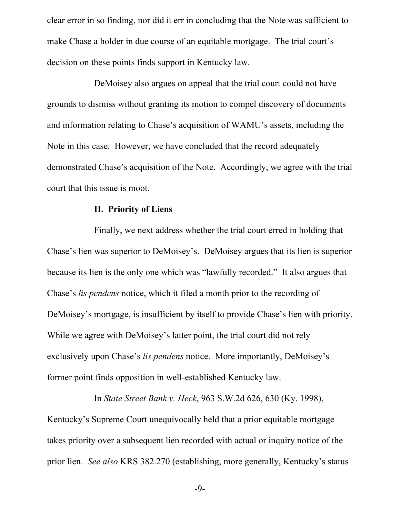clear error in so finding, nor did it err in concluding that the Note was sufficient to make Chase a holder in due course of an equitable mortgage. The trial court's decision on these points finds support in Kentucky law.

DeMoisey also argues on appeal that the trial court could not have grounds to dismiss without granting its motion to compel discovery of documents and information relating to Chase's acquisition of WAMU's assets, including the Note in this case. However, we have concluded that the record adequately demonstrated Chase's acquisition of the Note. Accordingly, we agree with the trial court that this issue is moot.

#### **II. Priority of Liens**

Finally, we next address whether the trial court erred in holding that Chase's lien was superior to DeMoisey's. DeMoisey argues that its lien is superior because its lien is the only one which was "lawfully recorded." It also argues that Chase's *lis pendens* notice, which it filed a month prior to the recording of DeMoisey's mortgage, is insufficient by itself to provide Chase's lien with priority. While we agree with DeMoisey's latter point, the trial court did not rely exclusively upon Chase's *lis pendens* notice. More importantly, DeMoisey's former point finds opposition in well-established Kentucky law.

In *State Street Bank v. Heck*, 963 S.W.2d 626, 630 (Ky. 1998), Kentucky's Supreme Court unequivocally held that a prior equitable mortgage takes priority over a subsequent lien recorded with actual or inquiry notice of the prior lien. *See also* KRS 382.270 (establishing, more generally, Kentucky's status

-9-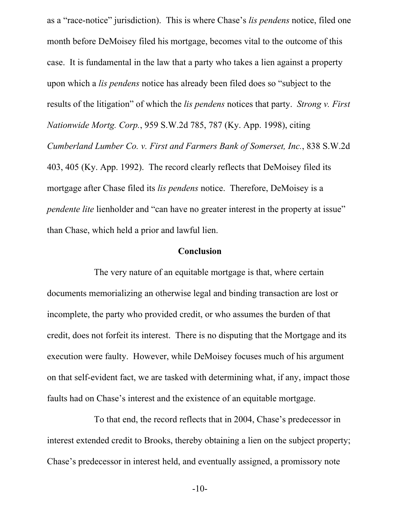as a "race-notice" jurisdiction). This is where Chase's *lis pendens* notice, filed one month before DeMoisey filed his mortgage, becomes vital to the outcome of this case. It is fundamental in the law that a party who takes a lien against a property upon which a *lis pendens* notice has already been filed does so "subject to the results of the litigation" of which the *lis pendens* notices that party. *Strong v. First Nationwide Mortg. Corp.*, 959 S.W.2d 785, 787 (Ky. App. 1998), citing *Cumberland Lumber Co. v. First and Farmers Bank of Somerset, Inc.*, 838 S.W.2d 403, 405 (Ky. App. 1992). The record clearly reflects that DeMoisey filed its mortgage after Chase filed its *lis pendens* notice. Therefore, DeMoisey is a *pendente lite* lienholder and "can have no greater interest in the property at issue" than Chase, which held a prior and lawful lien.

#### **Conclusion**

The very nature of an equitable mortgage is that, where certain documents memorializing an otherwise legal and binding transaction are lost or incomplete, the party who provided credit, or who assumes the burden of that credit, does not forfeit its interest. There is no disputing that the Mortgage and its execution were faulty. However, while DeMoisey focuses much of his argument on that self-evident fact, we are tasked with determining what, if any, impact those faults had on Chase's interest and the existence of an equitable mortgage.

To that end, the record reflects that in 2004, Chase's predecessor in interest extended credit to Brooks, thereby obtaining a lien on the subject property; Chase's predecessor in interest held, and eventually assigned, a promissory note

-10-